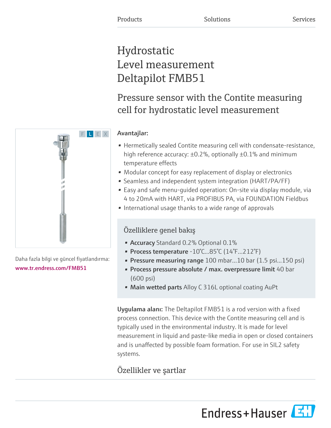# Hydrostatic Level measurement Deltapilot FMB51

Pressure sensor with the Contite measuring cell for hydrostatic level measurement

## Avantajlar:

- Hermetically sealed Contite measuring cell with condensate-resistance, high reference accuracy: ±0.2%, optionally ±0.1% and minimum temperature effects
- Modular concept for easy replacement of display or electronics
- Seamless and independent system integration (HART/PA/FF)
- Easy and safe menu-guided operation: On-site via display module, via 4 to 20mA with HART, via PROFIBUS PA, via FOUNDATION Fieldbus
- International usage thanks to a wide range of approvals

## Özelliklere genel bakış

- **Accuracy** Standard 0.2% Optional 0.1%
- Process temperature -10°C...85°C (14°F…212°F)
- Pressure measuring range 100 mbar...10 bar (1.5 psi...150 psi)
- Process pressure absolute / max. overpressure limit 40 bar (600 psi)
- Main wetted parts Alloy C 316L optional coating AuPt

Uygulama alanı: The Deltapilot FMB51 is a rod version with a fixed process connection. This device with the Contite measuring cell and is typically used in the environmental industry. It is made for level measurement in liquid and paste-like media in open or closed containers and is unaffected by possible foam formation. For use in SIL2 safety systems.

## Özellikler ve şartlar

Endress+Hauser



Daha fazla bilgi ve güncel fiyatlandırma: [www.tr.endress.com/FMB51](https://www.tr.endress.com/FMB51)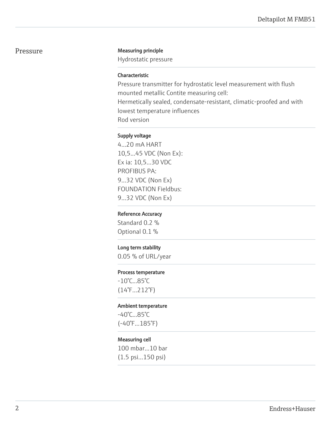## Pressure Measuring principle

Hydrostatic pressure

## Characteristic

Pressure transmitter for hydrostatic level measurement with flush mounted metallic Contite measuring cell: Hermetically sealed, condensate-resistant, climatic-proofed and with lowest temperature influences Rod version

## Supply voltage

4...20 mA HART 10,5...45 VDC (Non Ex): Ex ia: 10,5...30 VDC PROFIBUS PA: 9...32 VDC (Non Ex) FOUNDATION Fieldbus: 9...32 VDC (Non Ex)

## Reference Accuracy

Standard 0.2 % Optional 0.1 %

## Long term stability

0.05 % of URL/year

## Process temperature

-10°C...85°C (14°F…212°F)

## Ambient temperature

-40°C...85°C (-40°F...185°F)

## Measuring cell

100 mbar...10 bar (1.5 psi...150 psi)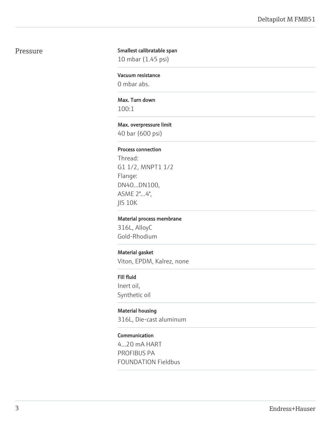## Pressure

## Smallest calibratable span

10 mbar (1.45 psi)

## Vacuum resistance

0 mbar abs.

## Max. Turn down

100:1

## Max. overpressure limit

40 bar (600 psi)

## Process connection

Thread: G1 1/2, MNPT1 1/2 Flange: DN40...DN100, ASME 2"...4", JIS 10K

## Material process membrane

316L, AlloyC Gold-Rhodium

## Material gasket

Viton, EPDM, Kalrez, none

## Fill fluid

Inert oil, Synthetic oil

## Material housing

316L, Die-cast aluminum

## Communication

4...20 mA HART PROFIBUS PA FOUNDATION Fieldbus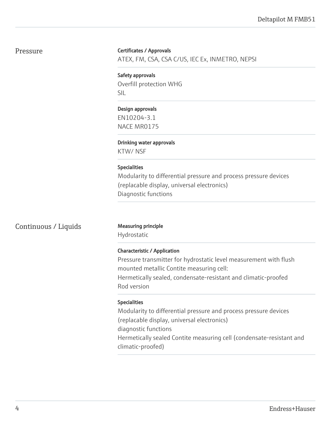## Pressure

## Certificates / Approvals

ATEX, FM, CSA, CSA C/US, IEC Ex, INMETRO, NEPSI

Safety approvals Overfill protection WHG SIL

Design approvals

EN10204-3.1 NACE MR0175

Drinking water approvals

KTW/ NSF

## Specialities

Modularity to differential pressure and process pressure devices (replacable display, universal electronics) Diagnostic functions

## Continuous / Liquids Measuring principle

Hydrostatic

## Characteristic / Application

Pressure transmitter for hydrostatic level measurement with flush mounted metallic Contite measuring cell: Hermetically sealed, condensate-resistant and climatic-proofed Rod version

## Specialities

Modularity to differential pressure and process pressure devices (replacable display, universal electronics) diagnostic functions Hermetically sealed Contite measuring cell (condensate-resistant and climatic-proofed)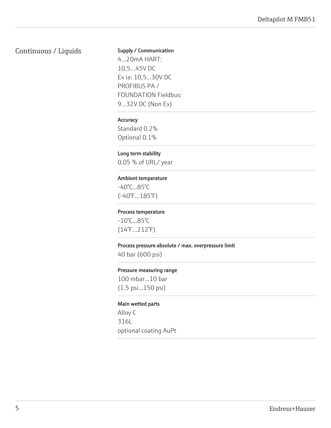## Continuous / Liquids

## Supply / Communication

4...20mA HART: 10,5...45V DC Ex ia: 10,5...30V DC PROFIBUS PA / FOUNDATION Fieldbus: 9...32V DC (Non Ex)

## **Accuracy**

Standard 0.2% Optional 0.1%

## Long term stability

0.05 % of URL/ year

## Ambient temperature

-40°C...85°C (-40°F...185°F)

### Process temperature

-10°C...85°C (14°F…212°F)

### Process pressure absolute / max. overpressure limit

40 bar (600 psi)

#### Pressure measuring range

100 mbar...10 bar (1.5 psi...150 psi)

## Main wetted parts

Alloy C 316L optional coating AuPt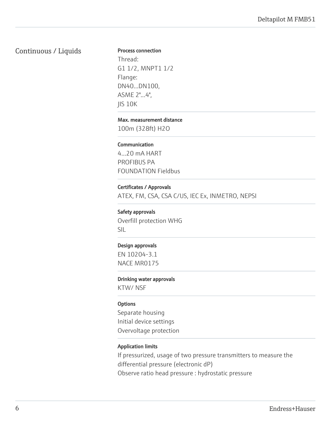## Continuous / Liquids

## Process connection

Thread: G1 1/2, MNPT1 1/2 Flange: DN40...DN100, ASME 2"...4", JIS 10K

### Max. measurement distance

100m (328ft) H2O

## Communication

4...20 mA HART PROFIBUS PA FOUNDATION Fieldbus

## Certificates / Approvals

ATEX, FM, CSA, CSA C/US, IEC Ex, INMETRO, NEPSI

## Safety approvals

Overfill protection WHG SIL

## Design approvals

EN 10204-3.1 NACE MR0175

#### Drinking water approvals

KTW/ NSF

## **Options**

Separate housing Initial device settings Overvoltage protection

## Application limits

If pressurized, usage of two pressure transmitters to measure the differential pressure (electronic dP) Observe ratio head pressure : hydrostatic pressure